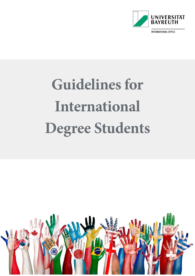

**INTERNATIONAL OFFICE** 

# **Guidelines for International Degree Students**

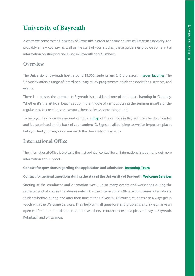## **University of Bayreuth**

A warm welcome to the University of Bayreuth! In order to ensure a successful start in a new city, and probably a new country, as well as the start of your studies, these guidelines provide some initial information on studying and living in Bayreuth and Kulmbach.

## **Overview**

The University of Bayreuth hosts around 13,500 students and 240 professors in [seven faculties.](https://www.uni-bayreuth.de/en/university/faculties/index.html) The University offers a range of interdisciplinary study programmes, student associations, services, and events.

There is a reason the campus in Bayreuth is considered one of the most charming in Germany. Whether it's the artificial beach set up in the middle of campus during the summer months or the regular movie screenings on campus, there is always something to do!

To help you find your way around campus, a [map](https://www.uni-bayreuth.de/de/universitaet/kontakt_campusplan/campusplan/campusplan-grafiken/Campusplan_4c-en.pdf) of the campus in Bayreuth can be downloaded and is also printed on the back of your student ID. Signs on all buildings as well as important places help you find your way once you reach the University of Bayreuth.

## **International Office**

The International Office is typically the first point of contact for all international students, to get more information and support.

#### **Contact for questions regarding the application and admission: [Incoming Team](mailto:incoming-degree@uni-bayreuth.de)**

#### **Contact for general questions during the stay at the University of Bayreuth[: Welcome Services](mailto:international-students@uni-bayreuth.de?subject=General%20Questions%20-%20Exchange%20Students)**

Starting at the enrolment and orientation week, up to many events and workshops during the semester and of course the alumni network – the International Office accompanies international students before, during and after their time at the University. Of course, students can always get in touch with the Welcome Services. They help with all questions and problems and always have an open ear for international students and researchers, in order to ensure a pleasant stay in Bayreuth, Kulmbach and on campus.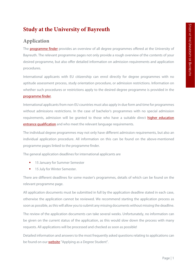## <span id="page-3-0"></span>**Study at the University of Bayreuth**

#### <span id="page-3-1"></span>**Application**

The **programme finder** provides an overview of all degree programmes offered at the University of Bayreuth. The relevant programme pages not only provide a rough overview of the contents of your desired programme, but also offer detailed information on admission requirements and application procedures.

International applicants with EU citizenship can enrol directly for degree programmes with no aptitude assessment process, study orientation procedure, or admission restrictions. Information on whether such procedures or restrictions apply to the desired degree programme is provided in the [programme finder.](https://www.international-office.uni-bayreuth.de/en/come-to-bayreuth/degree-students/index.php)

International applicants from non-EU countries must also apply in due form and time for programmes without admissions restrictions. In the case of bachelor's programmes with no special admission requirements, admission will be granted to those who have a suitable direct higher education [entrance qualification](https://www.international-office.uni-bayreuth.de/en/come-to-bayreuth/degree-students/higher-education-entrance-qualification/index.html) and who meet the relevant language requirements.

The individual degree programmes may not only have different admission requirements, but also an individual application procedure. All information on this can be found on the above-mentioned programme pages linked to the programme finder.

The general application deadlines for international applicants are

- 15 January for Summer Semester
- 15 July for Winter Semester.

There are different deadlines for some master's programmes, details of which can be found on the relevant programme page.

All application documents must be submitted in full by the application deadline stated in each case, otherwise the application cannot be reviewed. We recommend starting the application process as soon as possible, as this will allow you to submit any missing documents without missing the deadline.

The review of the application documents can take several weeks. Unfortunately, no information can be given on the current status of the application, as this would slow down the process with many requests. All applications will be processed and checked as soon as possible!

Detailed information and answers to the most frequently asked questions relating to applications can be found on our **website** "Applying as a Degree Student".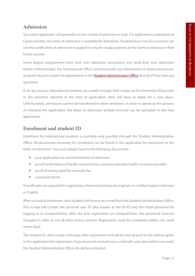## <span id="page-4-0"></span>**Admission**

Successful applicants will generally receive a letter of admission e-mail. For applications submitted via CampusOnline, the letter of admission is available for download. Students from non-EU countries can use this notification of admission to apply for a visa for study purposes at the German embassy in their home country.

Some degree programmes have their own admission procedures and send their own admission letters. Unfortunately, the International Office cannot provide any information on these procedures. Students should contact the department or the **Student Administration Office** directly if they have any questions.

If, for any reason, international students are unable to begin their studies at the University of Bayreuth in the semester selected at the time of application, they will have to apply for a new place. Unfortunately, admissions cannot be transferred to other semesters. In order to speed up the process of checking the application, the letter of admission already received can be uploaded to the new application.

## <span id="page-4-1"></span>**Enrolment and student ID**

Enrolment for international students is normally only possible through the Student Administration Office. All documents necessary for enrolment can be found in the application for enrolment or the letter of admission. You must always hand in the following documents:

- **•** your application for enrolment/letter of admission
- **Part of the interpretation of health insurance by a statutory German health insurance provider**
- **Part of of having paid the semester fee**
- **a** a passport photo

If certificates are required for registration, these must always be originals or certified copies in German or English.

After successful enrolment, each student will receive an e-mail from the Student Administration Office. This e-mail will contain the personal user ID (also known as the bt-ID) and the initial password for logging in to CampusOnline. After the first registration on CampusOnline, the password must be changed in order to use all other online systems. Registration must be completed within one week seven days!

The student ID card is ready a few days after registration and will be sent by post to the address given in the application for registration. If you have not received any e-mail with user data within one week, the Student Administration Office should be contacted.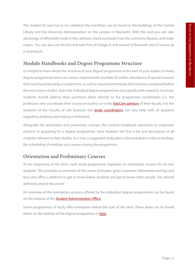The student ID card has to be validated (the machines can be found in the buildings of the Central Library and the University Administration on the campus in Bayreuth). With the card you can take advantage of affordable meals in the cafeteria, check out books from the university libraries, and make copies. You can also use the bus and train free of charge in and around of Bayreuth and of course up to Kulmbach.

## <span id="page-5-0"></span>**Module Handbooks and Degree Programme Structure**

It is helpful to learn about the structure of your degree programme at the start of your studies. In many degree programmes there are certain requirements (number of credits, attendance of special courses) that must be achieved by a certain term, as well as required internships that must be completed before the end of your studies. Since the individual degree programmes vary greatly with regard to structure, students should address their questions either directly to the programme coordinators (i.e. the professors who coordinate their course of studies) or to the **EduCare advisors** of their faculty. For the students of the Faculty of Life Sciences the **[study coordinators](https://www.f7.uni-bayreuth.de/en/team/index.html)** can also help with all question regarding studying and staying in Kulmbach.

Alongside the orientation and preliminary courses, the module handbook represents an important element in preparing for a degree programme. Here students will find a list and description of all modules relevant to their studies. As a rule, a suggested study plan is also included in order to facilitate the scheduling of modules and courses during the programme.

## <span id="page-5-1"></span>**Orientation and Preliminary Courses**

At the beginning of the term, each study programme organizes an orientation session for all new students. This provides an overview of the course of studies, gives important information and tips and thus also offers a platform to get to know fellow students and get to know other people. You should definitely attend this event!

An overview of the orientation sessions offered by the individual degree programmes can be found on the website of th[e Student Administration Office.](https://www.studierendenkanzlei.uni-bayreuth.de/en/students/first-year-students/index.html)

Some programmes of study offer orientation before the start of the term. These dates can be found either on the website of the degree programme or **here**.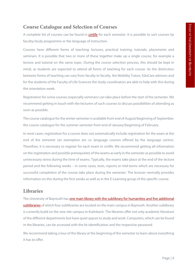## <span id="page-6-0"></span>**Course Catalogue and Selection of Courses**

A complete list of courses can be found in [cmlife](https://my.uni-bayreuth.de/cmlife/welcome) for each semester. It is possible to sort courses by faculty/study programme or the language of instruction.

Courses have different forms of teaching: lectures, practical training, tutorials, placements and seminars. It is possible that two or more of these together make up a single course, for example a lecture and tutorial on the same topic. During the course selection process, this should be kept in mind, as students are expected to attend all forms of teaching for each course. As the distinction between forms of teaching can vary from faculty to faculty, the Mobility Tutors, EduCare advisors and for the students of the Faculty of Life Sciences the study coordinators are able to help with this during the orientation week.

Registration for some courses (especially seminars) can take place before the start of the semester. We recommend getting in touch with the lecturers of such courses to discuss possibilities of attending as soon as possible.

The course catalogue for the winter semester is available from end of August/beginning of September, the course catalogue for the summer semester from end of January/beginning of February.

In most cases, registration for a course does not automatically include registration for the exam at the end of the semester (an exemption are i.e. language courses offered by the language centre). Therefore, it is necessary to register for each exam in cmlife. We recommend getting all information on the registration and possible prerequisites of the exams as early in the semester as possible to avoid unnecessary stress during the time of exams. Typically, the exams take place at the end of the lecture period and the following weeks – in some cases, tests, reports or mid-terms which are necessary for successful completion of the course take place during the semester. The lecturer normally provides information on this during the first weeks as well as in the E-Learning group of the specific course.

## <span id="page-6-1"></span>**Libraries**

The University of Bayreuth has **one main library with the sublibrary for humanities and five additional** [sublibraries](https://www.ub.uni-bayreuth.de/de/infos_zur_ub/ub-standorte/index.html) of which four sublibraries are located on the main campus in Bayreuth. Another sublibrary is currently build on the new site campus in Kulmbach. The libraries offer not only academic literature of the different departments but have quiet spaces to study and work. Computers, which can be found in the libraries, can be accessed with the bt-identification and the respective password.

We recommend taking a tour of the library at the beginning of the semester to learn about everything it has to offer.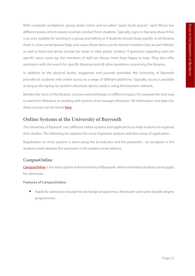With computer workplaces, group study rooms and so-called "quiet study-spaces", each library has different zones, which require a certain conduct from students. Typically, signs in that area show if this is an area suitable for working in a group and talking or if students should study quietly. In all libraries there is a ban on backpacks/bags and coats (these items can be stored in lockers close to each library) as well as food and drinks (except for water in clear plastic bottles). If questions regarding rules for specific areas come up, the members of staff are always more than happy to help. They also offer assistance with the search for specific literature and all other questions concerning the libraries.

In addition to the physical books, magazines and journals provided, the University of Bayreuth provides its students with online access to a range of different platforms. Typically, access is possible as long as the laptop (or another electronic device used) is using the Eduroam network.

Besides the tours of the libraries, courses and workshops on different topics, for example the best way to search for literature or working with systems that manage references. All information and dates for these courses can be found [here.](https://www.ub.uni-bayreuth.de/en/service/fuehrungen_und_schulungen/Angebote_fuer_Studenten/index.html)

## <span id="page-7-0"></span>**Online Systems at the University of Bayreuth**

The University of Bayreuth uses different online-systems and applications to help students to organize their studies. The following list explains the most important systems and their areas of application.

Registration on most systems is done using the bt-indicator and the password – an exception is the student email whereas the username is the student email address.

#### **CampusOnline**

[CampusOnline](https://campusonline.uni-bayreuth.de/ubto/webnav.ini) is the main system at the University of Bayreuth, which interested students use to apply for admission

#### **Features of CampusOnline:**

**Apply for admission (except for exchange programmes, freemover and some double degree** programmes)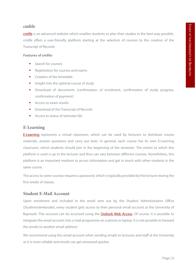#### **cmlife**

[cmlife](https://my.uni-bayreuth.de/cmlife/welcome) is an advanced website which enables students to plan their studies in the best way possible. cmlife offers a user-friendly platform starting at the selection of courses to the creation of the Transcript of Records

#### **Features of cmlife:**

- Search for courses
- Registration for courses and exams
- **Creation of the timetable**
- **Insight into the optimal course of study**
- Download of documents (confirmation of enrolment, confirmation of study progress, confirmation of payment)
- **Access to exam results**
- Download of the Transcript of Records
- **Access to status of semester fee**

#### **E-Learning**

**[E-Learning](https://elearning.uni-bayreuth.de/?lang=en)** represents a virtual classroom, which can be used by lecturers to distribute course materials, answer questions and carry out tests. In general, each course has its own E-Learning classroom, which students should join in the beginning of the semester. The extent to which this platform is used is up to the lecturer and thus can vary between different courses. Nonetheless, this platform is an important medium to access information and get in touch with other students in the same course.

The access to some courses requires a password, which is typically provided by the lecturer during the first weeks of classes.

#### **Student E-Mail Account**

Upon enrolment and included in the email sent out by the Student Administration Office (*Studierendenkanzlei*), every student gets access to their personal email account at the University of Bayreuth. This account can be accessed using the **Outlook Web Access**. Of course, it is possible to integrate the email account into a mail programme on a phone or laptop. It is not possible to forward the emails to another email address!

We recommend using this email account when sending emails to lecturers and staff at the University as it is more reliable and emails can get answered quicker.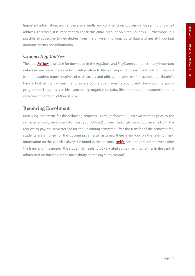Important information, such as the exam results and comments on courses will be sent to this email address. Therefore, it is important to check this email account on a regular basis. Furthermore, it is possible to subscribe to newsletters from the university to keep up to date and get all important announcements and information.

#### **Campus App** *UniNow*

The app **UniNow** (available for download in the AppStore and PlayStore) combines many important details in one place: from academic information to life on campus. It is possible to get notifications from the student representatives of each faculty and offices and services (for example the libraries), have a look at the canteen menu, access your student email account and check out the sports programme. Thus, this is an ideal app to help organize everyday life on campus and support students with the organization of their studies..

## <span id="page-9-0"></span>**Renewing Enrolment**

Renewing enrolment for the following semester is straightforward. Circa two months prior to the semester ending, the Student Administration Office (*Studierendenkanzlei*) sends out an email with the request to pay the semester fee for the upcoming semester. After the transfer of the semester fee, students are enrolled for the upcoming semester assumed there is no lock on the re-enrolment. Information on this can also always be found in the personal [cmlife](https://my.uni-bayreuth.de/cmlife/welcome) account. Around one week after the transfer of the money, the student ID needs to be validated at the machines (either in the central administration building or the main library on the Bayreuth campus).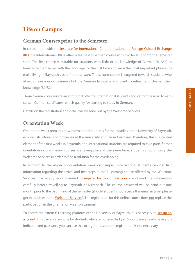## <span id="page-10-0"></span>**Life on Campus**

#### <span id="page-10-1"></span>**German Courses prior to the Semester**

In cooperation with the [Institute for International Communication and Foreign Cultural Exchange](https://www.iik-bayreuth.de/website/en/iik)  [\(IIK\),](https://www.iik-bayreuth.de/website/en/iik) the International Office offers a fee-based German course with two levels prior to the semester start. The first course is suitable for students with little or no knowledge of German (A1/A2) to familiarize themselves with the language for the first time and learn the most important phrases to make living in Bayreuth easier from the start. The second course is targeted towards students who already have a good command of the German language and want to refresh and deepen their knowledge (B1/B2).

These German courses are an additional offer for international students and cannot be used to earn certain German certificates, which qualify for starting to study in Germany.

Details on the registration and dates will be send out by the Welcome Services.

#### <span id="page-10-2"></span>**Orientation Week**

Orientation week prepares new international students for their studies at the University of Bayreuth, explains structures and processes at the university and life in Germany. Therefore, this is a central element of the first weeks in Bayreuth, and international students are required to take part! If other orientation or preliminary courses are taking place at the same time, students should notify the Welcome Services in order to find a solution for the overlapping.

In addition to the in-person orientation week on campus, international students can get first information regarding the arrival and first steps in the E-Learning course offered by the Welcome Services. It is highly recommended to [register for this online course](https://elearning-extern.uni-bayreuth.de/course/index.php?categoryid=38) and read the information carefully before travelling to Bayreuth or Kulmbach. The course password will be send out one month prior to the beginning of the semester (should students not receive this email in time, please get in touch with the **Welcome Services**). The registration for this online course does not replace the participation in the orientation week on campus!

To access the extern E-Learning platform of the University of Bayreuth, it is necessary to **set up an** [account.](https://elearning-extern.uni-bayreuth.de/login/signup.php?lang=en) This can also be done by students who are not enrolled yet. Should you already have a btindicator and password you can use this to log-in – a separate registration is not necessary.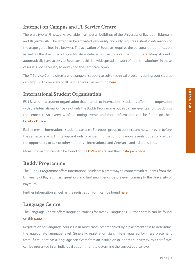<span id="page-11-0"></span>There are two WIFI networks available in almost all buildings of the University of Bayreuth: Eduroam and BayernWLAN. The latter can be activated very easily and only requires a short confirmation of the usage guidelines in a browser. The activation of Eduroam requires the personal bt-identification as well as the download of a certificate – detailed instructions can be found [here.](https://www.its.uni-bayreuth.de/en/internet-und-email/index.html) Many students automatically have access to Eduroam as this is a widespread network of public institutions. In these cases it is not necessary to download the certificate again.

The IT Service Centre offers a wide range of support to solve technical problems during your studies on campus. An overview of all help services can be found [here.](https://www.its.uni-bayreuth.de/en/hilfe-und-support/index.html)

## <span id="page-11-1"></span>**International Student Organisation**

ESN Bayreuth, a student organisation that attends to international students, offers – in cooperation with the International Office – not only the Buddy Programme but also many events and trips during the semester. An overview of upcoming events and more information can be found on their [Facebook Page.](https://www.facebook.com/ESN.Bayreuth/)

Each semester international students can use a Facebook group to connect and network even before the semester starts. This group not only provides information for various events but also provides the opportunity to talk to other students – international and German – and ask questions.

More information can also be found on the **ESN website** and their **Instagram page.** 

## <span id="page-11-2"></span>**Buddy Programme**

The Buddy Programme offers international students a great way to connect with students from the University of Bayreuth, ask questions and find new friends before even coming to the University of Bayreuth.

Further information as well as the registration form can be found [here.](https://bayreuth.esn-germany.de/en/get-a-buddy)

## <span id="page-11-3"></span>**Language Centre**

The Language Centre offers language courses for over 20 languages. Further details can be found on thi[s page.](http://www.sz.uni-bayreuth.de/index.php?id=237)

Registration for language courses is in most cases accompanied by a placement test to determine the appropriate language level. Generally, registration via cmlife is required for these placement tests. If a student has a language certificate from an institution or another university, this certificate can be presented in an individual appointment to determine the correct course level.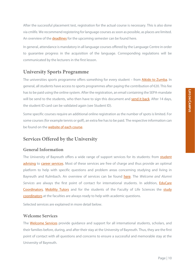After the successful placement test, registration for the actual course is necessary. This is also done via cmlife. We recommend registering for language courses as soon as possible, as places are limited. An overview of the **deadlines** for the upcoming semester can be found here.

In general, attendance is mandatory in all language courses offered by the Language Centre in order to guarantee progress in the acquisition of the language. Corresponding regulations will be communicated by the lecturers in the first lesson.

## <span id="page-12-0"></span>**University Sports Programme**

The universities sports programme offers something for every student – from **Aikido to Zumba**. In general, all students have access to sports programmes after paying the contribution of €20. This fee has to be paid using the online system. After the registration, an email containing the SEPA-mandate will be send to the students, who then have to sign this document and [send it back.](mailto:hochschulsport@uni-bayreuth.de?subject=SEPA%20Mandat) After 14 days, the student ID card can be validated again (see Student ID).

Some specific courses require an additional online registration as the number of spots is limited. For some courses (for example tennis or golf), an extra fee has to be paid. The respective information can be found on the [website of each course.](https://www.hochschulsport.uni-bayreuth.de/de/organisatorisches/index.html)

### <span id="page-12-1"></span>**Services Offered by the University**

#### **General Information**

The University of Bayreuth offers a wide range of support services for its students: from student [advising](https://www.studienberatung.uni-bayreuth.de/de/index.html) to [career services.](https://www.karriereservice.uni-bayreuth.de/de/) Most of these services are free of charge and thus provide an optimal platform to help with specific questions and problem areas concerning studying and living in Bayreuth and Kulmbach. An overview of services can be found [here.](https://www.uni-bayreuth.de/en/university/service/index.html) The *Welcome and Alumni Services* are always the first point of contact for international students. In addition, [EduCare](https://www.educare.uni-bayreuth.de/de/team/index.html) [Coordinators,](https://www.educare.uni-bayreuth.de/de/team/index.html) [Mobility Tutors](mailto:outgoing-tutor@uni-bayreuth.de) and for the students of the Faculty of Life Sciences the [study](https://www.f7.uni-bayreuth.de/en/team/index.html)  [coordinators](https://www.f7.uni-bayreuth.de/en/team/index.html) at the faculties are always ready to help with academic questions.

Selected services are explained in more detail below.

#### **Welcome Services**

The [Welcome Services](https://www.international-office.uni-bayreuth.de/en/come-to-bayreuth/welcome-services/index.html) provide quidance and support for all international students, scholars, and their families before, during, and after their stay at the University of Bayreuth. Thus, they are the first point of contact with all questions and concerns to ensure a successful and memorable stay at the University of Bayreuth.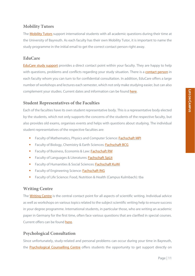#### **Mobility Tutors**

The **Mobility Tutors** support international students with all academic questions during their time at the University of Bayreuth. As each faculty has their own Mobility Tutor, it is important to name the study programme in the initial email to get the correct contact person right away.

#### **EduCare**

[EduCare study support](https://www.educare.uni-bayreuth.de/de/index.html) provides a direct contact point within your faculty. They are happy to help with questions, problems and conflicts regarding your study situation. There is a [contact person](https://www.educare.uni-bayreuth.de/de/team/index.html) in each faculty whom you can turn to for confidential consultation. In addition, EduCare offers a large number of workshops and lectures each semester, which not only make studying easier, but can also complement your studies. Current dates and information can be foun[d here.](https://www.educare.uni-bayreuth.de/de/angebote-studierende/Workshops/index.html) 

#### **Student Representatives of the Faculties**

Each of the faculties have its own student representative body. This is a representative body elected by the students, which not only supports the concerns of the students of the respective faculty, but also provides old exams, organises events and helps with questions about studying. The individual student representatives of the respective faculties are:

- Faculty of Mathematics, Physics and Computer Science: [Fachschaft MPI](https://fsmpi.uni-bayreuth.de/)
- Faculty of Biology, Chemistry & Earth Sciences: [Fachschaft BCG](https://www.fsbcg.uni-bayreuth.de/de/index.html)
- Faculty of Business, Economis & Law: [Fachschaft RW](https://www.fsrw.uni-bayreuth.de/de/index.html)
- Faculty of Languages & Literatures: [Fachschaft SpLit](https://www.facebook.com/FachschaftSpLit)
- Faculty of Humanities & Social Sciences: [Fachschaft KuWi](https://www.facebook.com/fsKuWi?fref=ts)
- Faculty of Engineering Science[: Fachschaft ING](https://www.fachschaft-ing.uni-bayreuth.de/de/index.html)
- **Faculty of Life Science: Food, Nutrition & Health (Campus Kulmbach): tba**

#### **Writing Centre**

The [Writing Centre](https://www.schreibzentrum.uni-bayreuth.de/de/index.html) is the central contact point for all aspects of scientific writing. Individual advice as well as workshops on various topics related to the subject scientific writing help to ensure success in your degree programme. International students, in particular those, who are writing an academic paper in Germany for the first time, often face various questions that are clarified in special courses. Current offers can be found [here.](https://www.schreibzentrum.uni-bayreuth.de/de/news/index.php)

#### **Psychological Consultation**

Since unfortunately, study-related and personal problems can occur during your time in Bayreuth, the **Psychological Counselling Centre** offers students the opportunity to get support directly on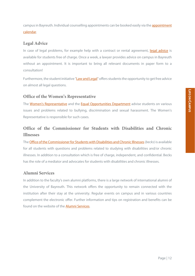campus in Bayreuth. Individual counselling appointments can be booked easily via the **appointment** [calendar.](https://www.studentenwerk-oberfranken.de/beratung-und-soziales/psychologische-beratung/bayreuth.html)

#### **Legal Advice**

In case of legal problems, for example help with a contract or rental agreement, [legal advice](https://www.studentenwerk-oberfranken.de/beratung-und-soziales/rechtsberatung.html) is available for students free of charge. Once a week, a lawyer provides advice on campus in Bayreuth without an appointment. It is important to bring all relevant documents in paper form to a consultation!

Furthermore, the student initiative ["Law and Legal"](https://lawandlegal.de/standorte/bayreuth) offers students the opportunity to get free advice on almost all legal questions.

#### **Office of the Women's Representative**

The [Women's Representative](http://www.frauenbeauftragte.uni-bayreuth.de/de/beratung/mobbing-diskriminierung-belaestigung/index.html) and the [Equal Opportunities Department](http://www.frauenbeauftragte.uni-bayreuth.de/de/beratung/index.html) advise students on various issues and problems related to bullying, discrimination and sexual harassment. The Women's Representative is responsible for such cases.

## **Office of the Commissioner for Students with Disabilities and Chronic Illnesses**

The [Office of the Commissioner for Students with Disabilities and Chronic Illnesses\(](https://www.becks.uni-bayreuth.de/en/index.html)*becks*) is available for all students with questions and problems related to studying with disabilities and/or chronic illnesses. In addition to a consultation which is free of charge, independent, and confidential. Becks has the role of a mediator and advocates for students with disabilities and chronic illnesses.

#### **Alumni Services**

In addition to the faculty's own alumni platforms, there is a large network of international alumni of the University of Bayreuth. This network offers the opportunity to remain connected with the institution after their stay at the university. Regular events on campus and in various countries complement the electronic offer. Further information and tips on registration and benefits can be found on the website of the [Alumni Services.](https://www.international-office.uni-bayreuth.de/de/Alumni-International/index.html)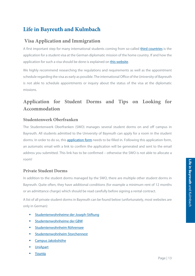## <span id="page-15-0"></span>**Life in Bayreuth and Kulmbach**

## <span id="page-15-1"></span>**Visa Application and Immigration**

A first important step for many international students coming from so-called [third countries](https://www.bamf.de/EN/Themen/MigrationAufenthalt/ZuwandererDrittstaaten/zuwandererdrittstaaten-node.html;jsessionid=34A72A5F360B5357104DD3E733B788F0.internet571) is the application for a student visa at the German diplomatic mission of the home country. If and how the application for such a visa should be done is explained o[n this website.](https://www.study-in-germany.de/en/plan-your-studies/requirements/visa_26604.php)

We highly recommend researching the regulations and requirements as well as the appointment schedule regarding the visa as early as possible. The international Office of the University of Bayreuth is not able to schedule appointments or inquiry about the status of the visa at the diplomatic missions.

## <span id="page-15-2"></span>**Application for Student Dorms and Tips on Looking for Accommodation**

#### **Studentenwerk Oberfranken**

The Studentenwerk Oberfranken (SWO) manages several student dorms on and off campus in Bayreuth. All students admitted to the University of Bayreuth can apply for a room in the student dorms. In order to do so, this **application form** needs to be filled in. Following this [application form](https://www.studentenwerk-oberfranken.de/wohnen/wohnheimbewerbung/wohnheimantrag.html), an automatic email with a link to confirm the application will be generated and sent to the email address you submitted. This link has to be confirmed – otherwise the SWO is not able to allocate a room!

#### **Private Student Dorms**

In addition to the student dorms managed by the SWO, there are multiple other student dorms in Bayreuth. Quite often, they have additional conditions (for example a minimum rent of 12 months or an admittance charge) which should be read carefully before signing a rental contract.

A list of all private student dorms in Bayreuth can be found below (unfortunately, most websites are only in German):

- [Studentenwohnheime der Joseph-Stiftung](https://www.joseph-stiftung.de/mieten/studenten)
- [Studentenwohnheime der GBW](https://www.gbw-bayreuth.de/gbw-fuer-studenten/fuer-studenten.php)
- [Studentenwohnheim Röhrensee](https://studentenwohnheim-bayreuth.de/)
- **Example 3 [Studentenwohnheim Storchennest](http://www.studentenwohnheim-storchennest-bayreuth.de/)**
- **[Campus Jakobshöhe](http://www.campus-jakobshoehe.de/)**
- **[UniApart](https://www.uniapart.de/standort/bayreuth-josephsplatz-3)**
- **•** Younig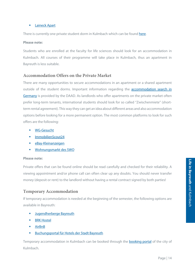#### **Example 2** [Laineck Apart](https://www.laineck-apart.de/)

There is currently one private student dorm in Kulmbach which can be foun[d here.](https://studentenwohnheim-kulmbach.de/)

#### **Please note:**

Students who are enrolled at the faculty for life sciences should look for an accommodation in Kulmbach. All courses of their programme will take place in Kulmbach, thus an apartment in Bayreuth is less suitable.

#### **Accommodation Offers on the Private Market**

There are many opportunities to secure accommodations in an apartment or a shared apartment outside of the student dorms. Important information regarding the [accommodation](https://www.daad.de/en/study-and-research-in-germany/plan-your-studies/renting-a-room/) search in [Germany](https://www.daad.de/en/study-and-research-in-germany/plan-your-studies/renting-a-room/) is provided by the DAAD. As landlords who offer apartments on the private market often prefer long-term tenants, international students should look for so called "Zwischenmiete" (shortterm rental agreement). This way they can get an idea about different areas and also accommodation options before looking for a more permanent option. The most common platforms to look for such offers are the following:

- **[WG-Gesucht](https://www.wg-gesucht.de/)**
- **[ImmobilienScout24](https://www.immobilienscout24.de/)**
- [eBay-Kleinanzeigen](https://www.ebay-kleinanzeigen.de/s-wohnung-mieten/bayreuth/c203l7483)
- [Wohnungsmarkt des SWO](https://www.studentenwerk-oberfranken.de/wohnen/private-angebote/bayreuth/apartments.html)

#### **Please note:**

Private offers that can be found online should be read carefully and checked for their reliability. A viewing appointment and/or phone call can often clear up any doubts. You should never transfer money (deposit or rent) to the landlord without having a rental contract signed by both parties!

#### **Temporary Accommodation**

If temporary accommodation is needed at the beginning of the semester, the following options are available in Bayreuth:

- [Jugendherberge Bayreuth](https://www.jugendherberge.de/jugendherbergen/bayreuth-765/portraet/)
- **[BRK Hostel](https://www.brk-bayreuth.de/ueber-uns/brk-hostel/)**
- [AirBnB](https://www.airbnb.de/s/Bayreuth/homes?place_id=ChIJGQMtqMWioUcRNOfR0gnfhto&refinement_paths%5b%5d=/homes&allow_override%5b%5d=&s_tag=4f_f-kuS§ion_offset=10)
- [Buchungsportal für Hotels der Stadt](https://www.bayreuth-tourismus.de/uebernachten/buchungsportal/) Bayreuth

Temporary accommodation in Kulmbach can be booked through the **booking portal** of the city of Kulmbach.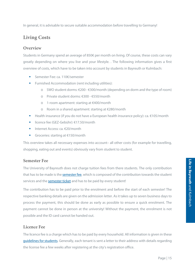In general, it is advisable to secure suitable accommodation before travelling to Germany!

## <span id="page-17-0"></span>**Living Costs**

#### **Overview**

Students in Germany spend an average of 850€ per month on living. Of course, these costs can vary greatly depending on where you live and your lifestyle. . The following information gives a first overview of costs, which have to be taken into account by students in Bayreuth or Kulmbach:

- Semester Fee: ca. 110€/semester
- **Furnished Accommodation (rent including utilities):** 
	- o SWO student dorms: €200 €300/month (depending on dorm and the type of room)
	- o Private student dorms: €300 €550/month
	- o 1-room apartment: starting at €400/month
	- o Room in a shared apartment: starting at €280/month
- **■** Health insurance (if you do not have a European health insurance policy): ca.  $€105/month$
- licence fee (GEZ-Gebühr): €17.50/month
- Internet Access:  $ca. \leq 20/month$
- Groceries: starting at €150/month

This overview takes all necessary expenses into account– all other costs (for example for travelling, shopping, eating out and events) obviously vary from student to student.

#### **Semester Fee**

The University of Bayreuth does not charge tuition fees from there students. The only contribution that has to be made is th[e semester fee,](https://www.studierendenkanzlei.uni-bayreuth.de/de/studierende/semesterbeitrag/index.html) which is composed of the contribution towards the student services and the [semester ticket](https://www.studentenwerk-oberfranken.de/das-swo/semesterticket/informationen-bayreuth.html) and has to be paid by every student!

The contribution has to be paid prior to the enrolment and before the start of each semester! The respective banking details are given on the admission letter. As it takes up to seven business days to process the payment, this should be done as early as possible to ensure a quick enrolment. The payment cannot be done in person at the university! Without the payment, the enrolment is not possible and the ID card cannot be handed out.

#### **Licence Fee**

The licence fee is a charge which has to be paid by every household. All information is given in these [guidelines for students.](https://www.rundfunkbeitrag.de/e175/e5280/Informationen_fuer_Studierende_Englisch.pdf) Generally, each tenant is sent a letter to their address with details regarding the license fee a few weeks after registering at the city's registration office.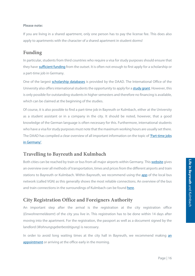#### **Please note:**

If you are living in a shared apartment, only one person has to pay the license fee. This does also apply to apartments with the character of a shared apartment in student dorms!

### <span id="page-18-0"></span>**Funding**

In particular, students from third countries who require a visa for study purposes should ensure that they have [sufficient funding](https://www.daad.de/en/study-and-research-in-germany/plan-your-studies/costs-of-education-and-living/) from the outset. It is often not enough to first apply for a scholarship or a part-time job in Germany.

One of the largest [scholarship databases](https://www.daad.de/en/study-and-research-in-germany/scholarships/) is provided by the DAAD. The International Office of the University also offers international students the opportunity to apply for a [study grant.](https://www.international-office.uni-bayreuth.de/en/come-to-bayreuth/scholarships/index.html) However, this is only possible for outstanding students in higher semesters and therefore no financing is available, which can be claimed at the beginning of the studies.

Of course, it is also possible to find a part-time job in Bayreuth or Kulmbach, either at the University as a student assistant or in a company in the city. It should be noted, however, that a good knowledge of the German language is often necessary for this. Furthermore, international students who have a visa for study purposes must note that the maximum working hours are usually set there. The DAAD has compiled a clear overview of all important information on the topic of ['Part-time jobs](https://www.daad.de/en/study-and-research-in-germany/first-steps-germany/side-jobs/)  [in Germany'.](https://www.daad.de/en/study-and-research-in-germany/first-steps-germany/side-jobs/)

## <span id="page-18-1"></span>**Travelling to Bayreuth and Kulmbach**

Both cities can be reached by train or bus from all major airports within Germany. Thi[s website](https://www.omio.co.uk/) gives an overview over all methods of transportation, times and prices from the different airports and train stations to Bayreuth or Kulmbach. Within Bayreuth, we recommend using the [app](https://www.vgn.de/en/) of the local bus network (called VGN) as this generally shows the most reliable connections. An overview of the bus and train connections in the surroundings of Kulmbach can be found [here.](https://www.landkreis-kulmbach.de/tourismus-wirtschaft-verkehr/verkehr-oepnv/oepnv-im-landkreis/)

## <span id="page-18-2"></span>**City Registration Office and Foreigners Authority**

An important step after the arrival is the registration at the city registration office (*Einwohnermeldeamt*) of the city you live in. This registration has to be done within 14 days after moving into the apartment. For the registration, the passport as well as a document signed by the landlord (*Wohnungsgeberbestätigung*) is necessary.

In order to avoid long waiting times at the city hall in Bayreuth, we recommend making an [appointment](https://netappoint.de/ot/bayreuth/?company=bayreuth) or arriving at the office early in the morning.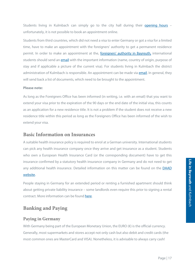Students living in Kulmbach can simply go to the city hall during their [opening hours](https://www.kulmbach.de/xist4c/web/Buergerservice_id_5463_.htm) unfortunately, it is not possible to book an appointment online.

Students from third countries, which did not need a visa to enter Germany or got a visa for a limited time, have to make an appointment with the foreigners' authority to get a permanent residence permit. In order to make an appointment at the, [foreigners' authority](https://www.bayreuth.de/rathaus-buergerservice/stadtverwaltung/referate-aemter/aemter-a-z/auslaenderamt/) in Bayreuth, international students should send a[n email](mailto:Auslaenderamt@stadt.bayreuth.de?subject=Extension%20Visa) with the important information (name, country of origin, purpose of stay and if applicable a picture of the current visa). For students living in Kulmbach the district administration of Kulmbach is responsible. An appointment can be made via **email**. In general, they will send back a list of documents, which need to be brought to the appointment.

#### **Please note:**

As long as the Foreigners Office has been informed (in writing, i.e. with an email) that you want to extend your visa prior to the expiration of the 90 days or the end date of the initial visa, this counts as an application for a new residence title. It is not a problem if the student does not receive a new residence title within this period as long as the Foreigners Office has been informed of the wish to extend your visa.

#### <span id="page-19-0"></span>**Basic Information on Insurances**

A suitable health insurance policy is required to enrol at a German university. International students can pick any health insurance company once they arrive and get insurance as a student. Students who own a European Health Insurance Card (or the corresponding document) have to get this insurance confirmed by a statutory health insurance company in Germany and do not need to get any additional health insurance. Detailed information on this matter can be found on the [DAAD](https://www.daad.de/en/study-and-research-in-germany/plan-your-studies/health-insurance/)  [website.](https://www.daad.de/en/study-and-research-in-germany/plan-your-studies/health-insurance/)

People staying in Germany for an extended period or renting a furnished apartment should think about getting private liability insurance – some landlords even require this prior to signing a rental contract. More information can be foun[d here.](https://www.make-it-in-germany.com/en/living-in-germany/insurance/private-liability/)

## <span id="page-19-1"></span>**Banking and Paying**

#### **Paying in Germany**

With Germany being part of the European Monetary Union, the EURO (€) is the official currency. Generally, most supermarkets and stores accept not only cash but also debit and credit cards (the most common ones are MasterCard and VISA). Nonetheless, it is advisable to always carry cash!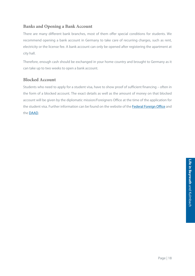#### **Banks and Opening a Bank Account**

There are many different bank branches, most of them offer special conditions for students. We recommend opening a bank account in Germany to take care of recurring charges, such as rent, electricity or the license fee. A bank account can only be opened after registering the apartment at city hall.

Therefore, enough cash should be exchanged in your home country and brought to Germany as it can take up to two weeks to open a bank account.

#### **Blocked Account**

Students who need to apply for a student visa, have to show proof of sufficient financing – often in the form of a blocked account. The exact details as well as the amount of money on that blocked account will be given by the diplomatic mission/Foreigners Office at the time of the application for the student visa. Further information can be found on the website of th[e Federal Foreign Office](https://www.auswaertiges-amt.de/en/sperrkonto/388600) and th[e DAAD.](https://www.daad.de/en/study-and-research-in-germany/plan-your-studies/costs-of-education-and-living/)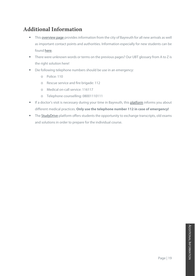## <span id="page-21-0"></span>**Additional Information**

- This **overview page** provides information from the city of Bayreuth for all new arrivals as well as important contact points and authorities. Information especially for new students can be found [here.](https://www.bayreuth.de/rathaus-buergerservice/bildung-wissen/universitaet/)
- There were unknown words or terms on the previous pages? Our UBT glossary from A to Z is the right solution here!
- Die following telephone numbers should be use in an emergency:
	- o Police: 110
	- o Rescue service and fire brigade: 112
	- o Medical on-call service: 116117
	- o Telephone counselling: 08001110111
- If a doctor's visit is necessary during your time in Bayreuth, thi[s platform](https://www.jameda.de/bayreuth/aerzte/hausaerzte/gute/stadtaerzte/) informs you about different medical practices. **Only use the telephone number 112 in case of emergency!**
- The Study Drive platform offers students the opportunity to exchange transcripts, old exams and solutions in order to prepare for the individual course.